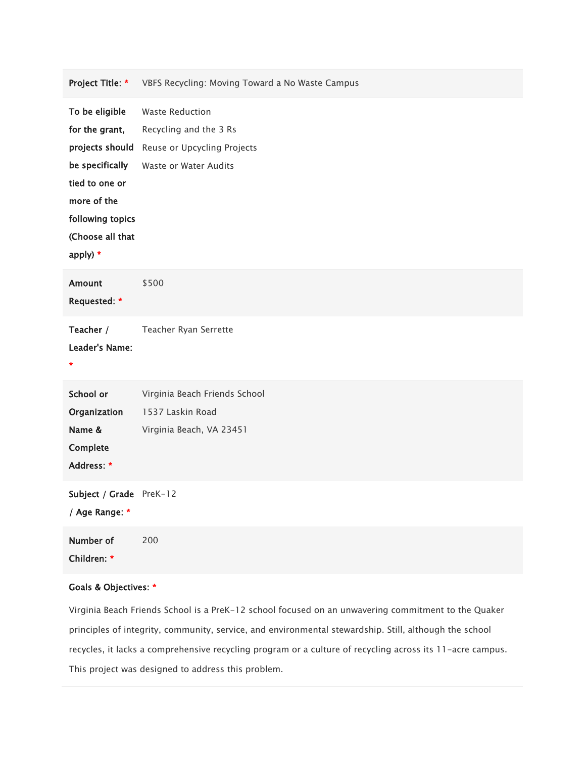| Project Title: *                                                                                                                                            | VBFS Recycling: Moving Toward a No Waste Campus                                                          |
|-------------------------------------------------------------------------------------------------------------------------------------------------------------|----------------------------------------------------------------------------------------------------------|
| To be eligible<br>for the grant,<br>projects should<br>be specifically<br>tied to one or<br>more of the<br>following topics<br>(Choose all that<br>apply) * | <b>Waste Reduction</b><br>Recycling and the 3 Rs<br>Reuse or Upcycling Projects<br>Waste or Water Audits |
| <b>Amount</b><br>Requested: *                                                                                                                               | \$500                                                                                                    |
| Teacher /<br>Leader's Name:<br>$\ast$                                                                                                                       | Teacher Ryan Serrette                                                                                    |
| School or<br>Organization<br>Name &<br>Complete<br>Address: *                                                                                               | Virginia Beach Friends School<br>1537 Laskin Road<br>Virginia Beach, VA 23451                            |
| Subject / Grade PreK-12<br>/ Age Range: *                                                                                                                   |                                                                                                          |
| Number of<br>Children: *                                                                                                                                    | 200                                                                                                      |

## Goals & Objectives: \*

Virginia Beach Friends School is a PreK-12 school focused on an unwavering commitment to the Quaker principles of integrity, community, service, and environmental stewardship. Still, although the school recycles, it lacks a comprehensive recycling program or a culture of recycling across its 11-acre campus. This project was designed to address this problem.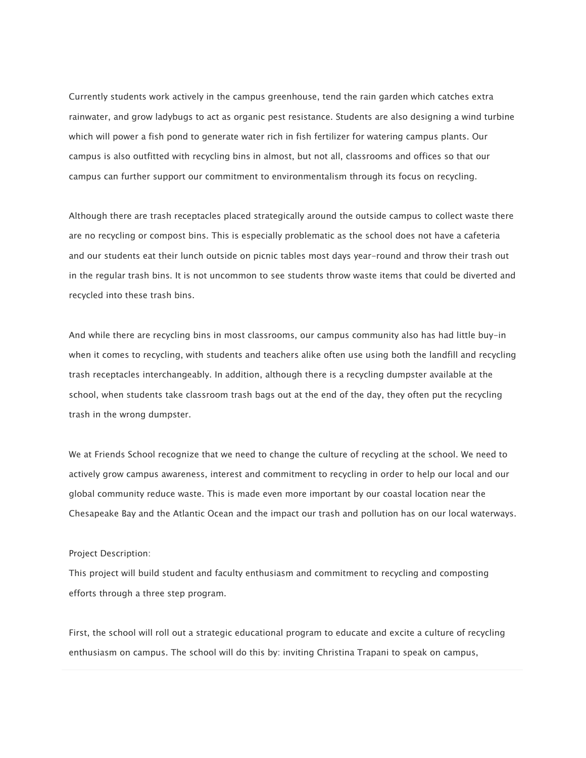Currently students work actively in the campus greenhouse, tend the rain garden which catches extra rainwater, and grow ladybugs to act as organic pest resistance. Students are also designing a wind turbine which will power a fish pond to generate water rich in fish fertilizer for watering campus plants. Our campus is also outfitted with recycling bins in almost, but not all, classrooms and offices so that our campus can further support our commitment to environmentalism through its focus on recycling.

Although there are trash receptacles placed strategically around the outside campus to collect waste there are no recycling or compost bins. This is especially problematic as the school does not have a cafeteria and our students eat their lunch outside on picnic tables most days year-round and throw their trash out in the regular trash bins. It is not uncommon to see students throw waste items that could be diverted and recycled into these trash bins.

And while there are recycling bins in most classrooms, our campus community also has had little buy-in when it comes to recycling, with students and teachers alike often use using both the landfill and recycling trash receptacles interchangeably. In addition, although there is a recycling dumpster available at the school, when students take classroom trash bags out at the end of the day, they often put the recycling trash in the wrong dumpster.

We at Friends School recognize that we need to change the culture of recycling at the school. We need to actively grow campus awareness, interest and commitment to recycling in order to help our local and our global community reduce waste. This is made even more important by our coastal location near the Chesapeake Bay and the Atlantic Ocean and the impact our trash and pollution has on our local waterways.

#### Project Description:

This project will build student and faculty enthusiasm and commitment to recycling and composting efforts through a three step program.

First, the school will roll out a strategic educational program to educate and excite a culture of recycling enthusiasm on campus. The school will do this by: inviting Christina Trapani to speak on campus,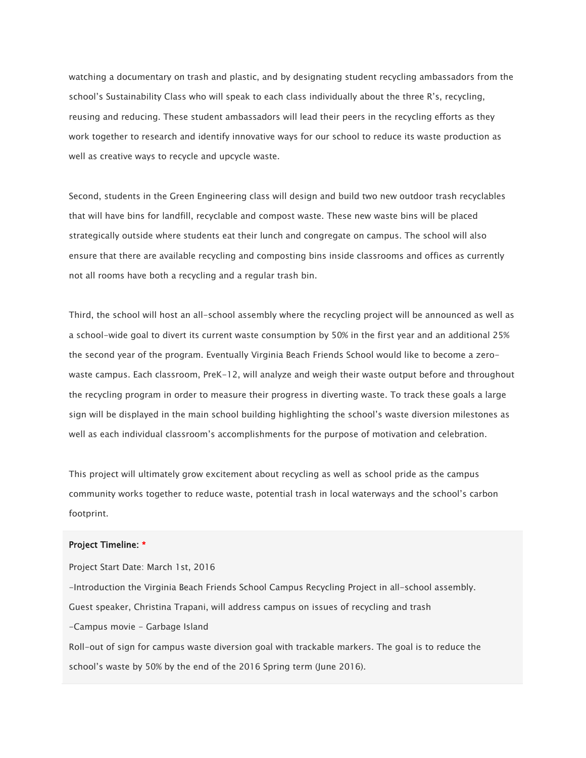watching a documentary on trash and plastic, and by designating student recycling ambassadors from the school's Sustainability Class who will speak to each class individually about the three R's, recycling, reusing and reducing. These student ambassadors will lead their peers in the recycling efforts as they work together to research and identify innovative ways for our school to reduce its waste production as well as creative ways to recycle and upcycle waste.

Second, students in the Green Engineering class will design and build two new outdoor trash recyclables that will have bins for landfill, recyclable and compost waste. These new waste bins will be placed strategically outside where students eat their lunch and congregate on campus. The school will also ensure that there are available recycling and composting bins inside classrooms and offices as currently not all rooms have both a recycling and a regular trash bin.

Third, the school will host an all-school assembly where the recycling project will be announced as well as a school-wide goal to divert its current waste consumption by 50% in the first year and an additional 25% the second year of the program. Eventually Virginia Beach Friends School would like to become a zerowaste campus. Each classroom, PreK-12, will analyze and weigh their waste output before and throughout the recycling program in order to measure their progress in diverting waste. To track these goals a large sign will be displayed in the main school building highlighting the school's waste diversion milestones as well as each individual classroom's accomplishments for the purpose of motivation and celebration.

This project will ultimately grow excitement about recycling as well as school pride as the campus community works together to reduce waste, potential trash in local waterways and the school's carbon footprint.

#### Project Timeline: \*

Project Start Date: March 1st, 2016 -Introduction the Virginia Beach Friends School Campus Recycling Project in all-school assembly. Guest speaker, Christina Trapani, will address campus on issues of recycling and trash -Campus movie - Garbage Island Roll-out of sign for campus waste diversion goal with trackable markers. The goal is to reduce the school's waste by 50% by the end of the 2016 Spring term (June 2016).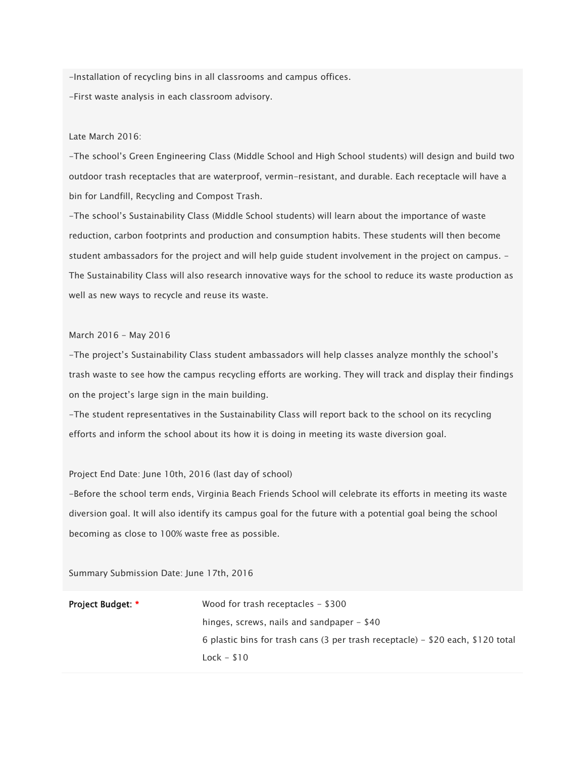-Installation of recycling bins in all classrooms and campus offices. -First waste analysis in each classroom advisory.

## Late March 2016:

-The school's Green Engineering Class (Middle School and High School students) will design and build two outdoor trash receptacles that are waterproof, vermin-resistant, and durable. Each receptacle will have a bin for Landfill, Recycling and Compost Trash.

-The school's Sustainability Class (Middle School students) will learn about the importance of waste reduction, carbon footprints and production and consumption habits. These students will then become student ambassadors for the project and will help guide student involvement in the project on campus. - The Sustainability Class will also research innovative ways for the school to reduce its waste production as well as new ways to recycle and reuse its waste.

### March 2016 - May 2016

-The project's Sustainability Class student ambassadors will help classes analyze monthly the school's trash waste to see how the campus recycling efforts are working. They will track and display their findings on the project's large sign in the main building.

-The student representatives in the Sustainability Class will report back to the school on its recycling efforts and inform the school about its how it is doing in meeting its waste diversion goal.

## Project End Date: June 10th, 2016 (last day of school)

-Before the school term ends, Virginia Beach Friends School will celebrate its efforts in meeting its waste diversion goal. It will also identify its campus goal for the future with a potential goal being the school becoming as close to 100% waste free as possible.

Summary Submission Date: June 17th, 2016

| <b>Project Budget: *</b> | Wood for trash receptacles $-$ \$300                                            |
|--------------------------|---------------------------------------------------------------------------------|
|                          | hinges, screws, nails and sandpaper $-$ \$40                                    |
|                          | 6 plastic bins for trash cans (3 per trash receptacle) – \$20 each, \$120 total |
|                          | $Lock - $10$                                                                    |
|                          |                                                                                 |